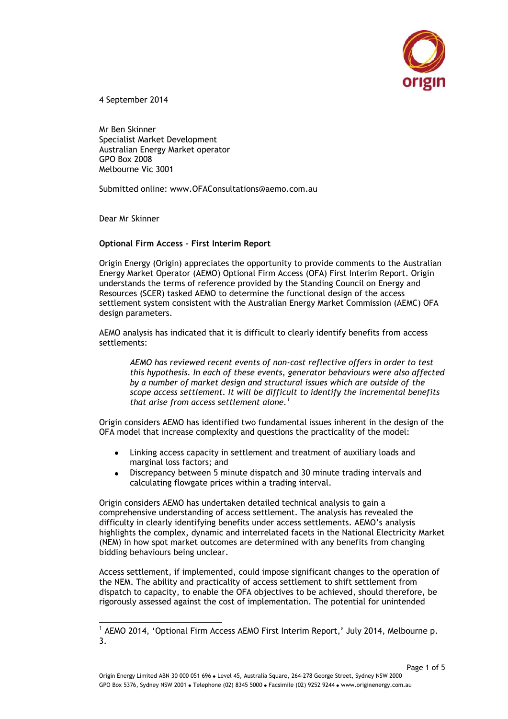

4 September 2014

Mr Ben Skinner Specialist Market Development Australian Energy Market operator GPO Box 2008 Melbourne Vic 3001

Submitted online: www.OFAConsultations@aemo.com.au

Dear Mr Skinner

-

## **Optional Firm Access – First Interim Report**

Origin Energy (Origin) appreciates the opportunity to provide comments to the Australian Energy Market Operator (AEMO) Optional Firm Access (OFA) First Interim Report. Origin understands the terms of reference provided by the Standing Council on Energy and Resources (SCER) tasked AEMO to determine the functional design of the access settlement system consistent with the Australian Energy Market Commission (AEMC) OFA design parameters.

AEMO analysis has indicated that it is difficult to clearly identify benefits from access settlements:

*AEMO has reviewed recent events of non-cost reflective offers in order to test this hypothesis. In each of these events, generator behaviours were also affected by a number of market design and structural issues which are outside of the scope access settlement. It will be difficult to identify the incremental benefits that arise from access settlement alone.<sup>1</sup>*

Origin considers AEMO has identified two fundamental issues inherent in the design of the OFA model that increase complexity and questions the practicality of the model:

- Linking access capacity in settlement and treatment of auxiliary loads and marginal loss factors; and
- Discrepancy between 5 minute dispatch and 30 minute trading intervals and calculating flowgate prices within a trading interval.

Origin considers AEMO has undertaken detailed technical analysis to gain a comprehensive understanding of access settlement. The analysis has revealed the difficulty in clearly identifying benefits under access settlements. AEMO's analysis highlights the complex, dynamic and interrelated facets in the National Electricity Market (NEM) in how spot market outcomes are determined with any benefits from changing bidding behaviours being unclear.

Access settlement, if implemented, could impose significant changes to the operation of the NEM. The ability and practicality of access settlement to shift settlement from dispatch to capacity, to enable the OFA objectives to be achieved, should therefore, be rigorously assessed against the cost of implementation. The potential for unintended

<sup>&</sup>lt;sup>1</sup> AEMO 2014, 'Optional Firm Access AEMO First Interim Report,' July 2014, Melbourne p. 3.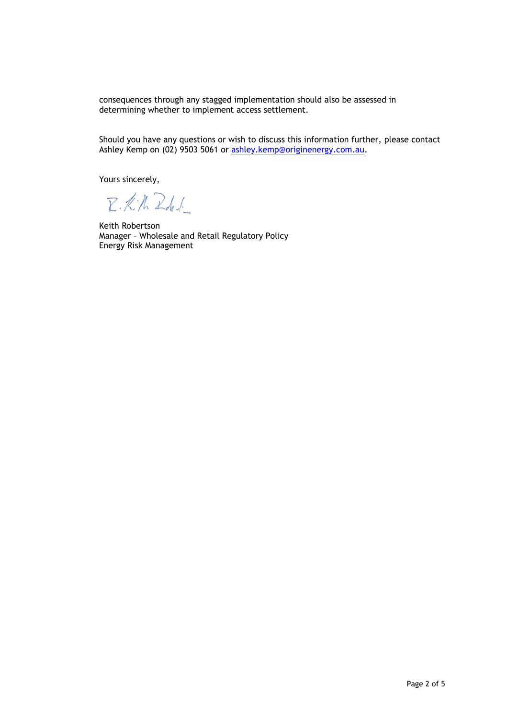consequences through any stagged implementation should also be assessed in determining whether to implement access settlement.

Should you have any questions or wish to discuss this information further, please contact Ashley Kemp on (02) 9503 5061 or [ashley.kemp@originenergy.com.au.](mailto:ashley.kemp@originenergy.com.au)

Yours sincerely,

R.K.N. Rd.l.

Keith Robertson Manager – Wholesale and Retail Regulatory Policy Energy Risk Management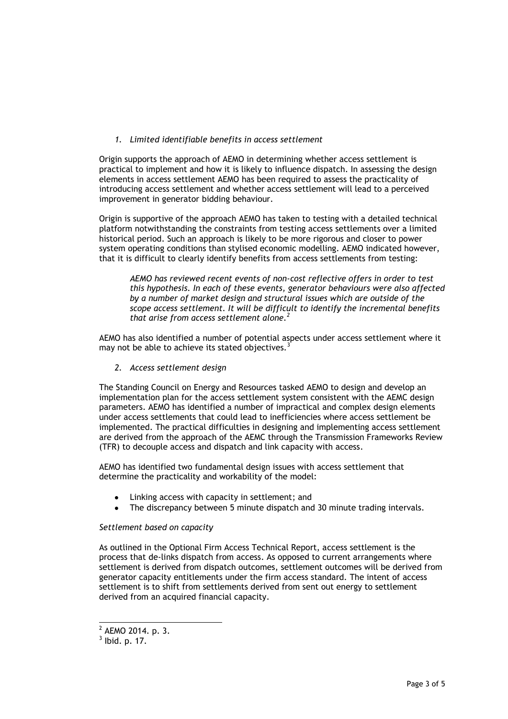# *1. Limited identifiable benefits in access settlement*

Origin supports the approach of AEMO in determining whether access settlement is practical to implement and how it is likely to influence dispatch. In assessing the design elements in access settlement AEMO has been required to assess the practicality of introducing access settlement and whether access settlement will lead to a perceived improvement in generator bidding behaviour.

Origin is supportive of the approach AEMO has taken to testing with a detailed technical platform notwithstanding the constraints from testing access settlements over a limited historical period. Such an approach is likely to be more rigorous and closer to power system operating conditions than stylised economic modelling. AEMO indicated however, that it is difficult to clearly identify benefits from access settlements from testing:

*AEMO has reviewed recent events of non-cost reflective offers in order to test this hypothesis. In each of these events, generator behaviours were also affected by a number of market design and structural issues which are outside of the scope access settlement. It will be difficult to identify the incremental benefits that arise from access settlement alone.<sup>2</sup>*

AEMO has also identified a number of potential aspects under access settlement where it may not be able to achieve its stated objectives.<sup>3</sup>

*2. Access settlement design*

The Standing Council on Energy and Resources tasked AEMO to design and develop an implementation plan for the access settlement system consistent with the AEMC design parameters. AEMO has identified a number of impractical and complex design elements under access settlements that could lead to inefficiencies where access settlement be implemented. The practical difficulties in designing and implementing access settlement are derived from the approach of the AEMC through the Transmission Frameworks Review (TFR) to decouple access and dispatch and link capacity with access.

AEMO has identified two fundamental design issues with access settlement that determine the practicality and workability of the model:

- Linking access with capacity in settlement; and
- The discrepancy between 5 minute dispatch and 30 minute trading intervals.

#### *Settlement based on capacity*

As outlined in the Optional Firm Access Technical Report, access settlement is the process that de-links dispatch from access. As opposed to current arrangements where settlement is derived from dispatch outcomes, settlement outcomes will be derived from generator capacity entitlements under the firm access standard. The intent of access settlement is to shift from settlements derived from sent out energy to settlement derived from an acquired financial capacity.

 $\frac{1}{2}$  AEMO 2014. p. 3.

 $3$  lbid. p. 17.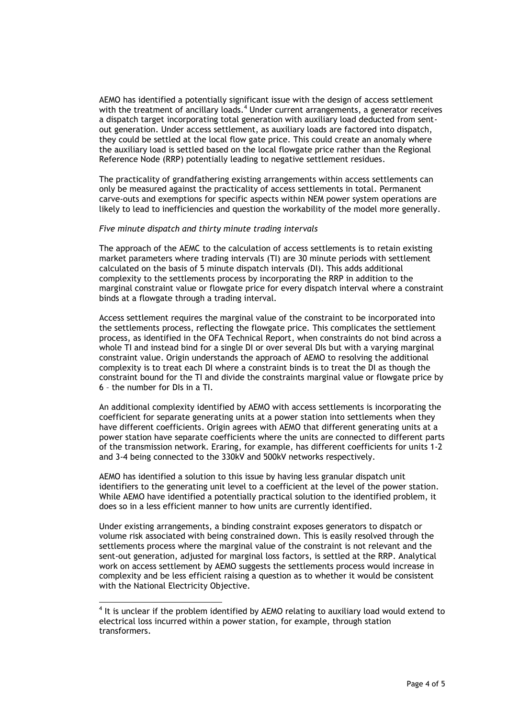AEMO has identified a potentially significant issue with the design of access settlement with the treatment of ancillary loads.<sup>4</sup> Under current arrangements, a generator receives a dispatch target incorporating total generation with auxiliary load deducted from sentout generation. Under access settlement, as auxiliary loads are factored into dispatch, they could be settled at the local flow gate price. This could create an anomaly where the auxiliary load is settled based on the local flowgate price rather than the Regional Reference Node (RRP) potentially leading to negative settlement residues.

The practicality of grandfathering existing arrangements within access settlements can only be measured against the practicality of access settlements in total. Permanent carve-outs and exemptions for specific aspects within NEM power system operations are likely to lead to inefficiencies and question the workability of the model more generally.

#### *Five minute dispatch and thirty minute trading intervals*

The approach of the AEMC to the calculation of access settlements is to retain existing market parameters where trading intervals (TI) are 30 minute periods with settlement calculated on the basis of 5 minute dispatch intervals (DI). This adds additional complexity to the settlements process by incorporating the RRP in addition to the marginal constraint value or flowgate price for every dispatch interval where a constraint binds at a flowgate through a trading interval.

Access settlement requires the marginal value of the constraint to be incorporated into the settlements process, reflecting the flowgate price. This complicates the settlement process, as identified in the OFA Technical Report, when constraints do not bind across a whole TI and instead bind for a single DI or over several DIs but with a varying marginal constraint value. Origin understands the approach of AEMO to resolving the additional complexity is to treat each DI where a constraint binds is to treat the DI as though the constraint bound for the TI and divide the constraints marginal value or flowgate price by 6 – the number for DIs in a TI.

An additional complexity identified by AEMO with access settlements is incorporating the coefficient for separate generating units at a power station into settlements when they have different coefficients. Origin agrees with AEMO that different generating units at a power station have separate coefficients where the units are connected to different parts of the transmission network. Eraring, for example, has different coefficients for units 1-2 and 3-4 being connected to the 330kV and 500kV networks respectively.

AEMO has identified a solution to this issue by having less granular dispatch unit identifiers to the generating unit level to a coefficient at the level of the power station. While AEMO have identified a potentially practical solution to the identified problem, it does so in a less efficient manner to how units are currently identified.

Under existing arrangements, a binding constraint exposes generators to dispatch or volume risk associated with being constrained down. This is easily resolved through the settlements process where the marginal value of the constraint is not relevant and the sent-out generation, adjusted for marginal loss factors, is settled at the RRP. Analytical work on access settlement by AEMO suggests the settlements process would increase in complexity and be less efficient raising a question as to whether it would be consistent with the National Electricity Objective.

 $\overline{a}$ 

 $4$  It is unclear if the problem identified by AEMO relating to auxiliary load would extend to electrical loss incurred within a power station, for example, through station transformers.